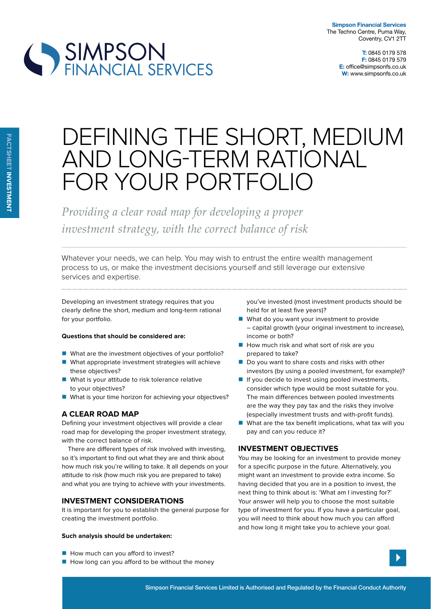

# DEFINING THE SHORT, MEDIUM AND LONG-TERM RATIONAL FOR YOUR PORTFOLIO

*Providing a clear road map for developing a proper investment strategy, with the correct balance of risk*

Whatever your needs, we can help. You may wish to entrust the entire wealth management process to us, or make the investment decisions yourself and still leverage our extensive services and expertise.

Developing an investment strategy requires that you clearly define the short, medium and long-term rational for your portfolio.

## **Questions that should be considered are:**

- What are the investment objectives of your portfolio?
- What appropriate investment strategies will achieve these objectives?
- What is your attitude to risk tolerance relative to your objectives?
- What is your time horizon for achieving your objectives?

# **a clear road map**

Defining your investment objectives will provide a clear road map for developing the proper investment strategy, with the correct balance of risk.

There are diferent types of risk involved with investing, so it's important to find out what they are and think about how much risk you're willing to take. It all depends on your attitude to risk (how much risk you are prepared to take) and what you are trying to achieve with your investments.

# **investment considerations**

It is important for you to establish the general purpose for creating the investment portfolio.

## **such analysis should be undertaken:**

- How much can you afford to invest?
- $\blacksquare$  How long can you afford to be without the money

you've invested (most investment products should be held for at least five years)?

- What do you want your investment to provide – capital growth (your original investment to increase), income or both?
- $\blacksquare$  How much risk and what sort of risk are you prepared to take?
- Do you want to share costs and risks with other investors (by using a pooled investment, for example)?
- $\blacksquare$  If you decide to invest using pooled investments, consider which type would be most suitable for you. The main diferences between pooled investments are the way they pay tax and the risks they involve (especially investment trusts and with-profit funds).
- What are the tax benefit implications, what tax will you pay and can you reduce it?

# **investment oBjectives**

You may be looking for an investment to provide money for a specific purpose in the future. Alternatively, you might want an investment to provide extra income. So having decided that you are in a position to invest, the next thing to think about is: 'What am I investing for?' Your answer will help you to choose the most suitable type of investment for you. If you have a particular goal, you will need to think about how much you can afford and how long it might take you to achieve your goal.